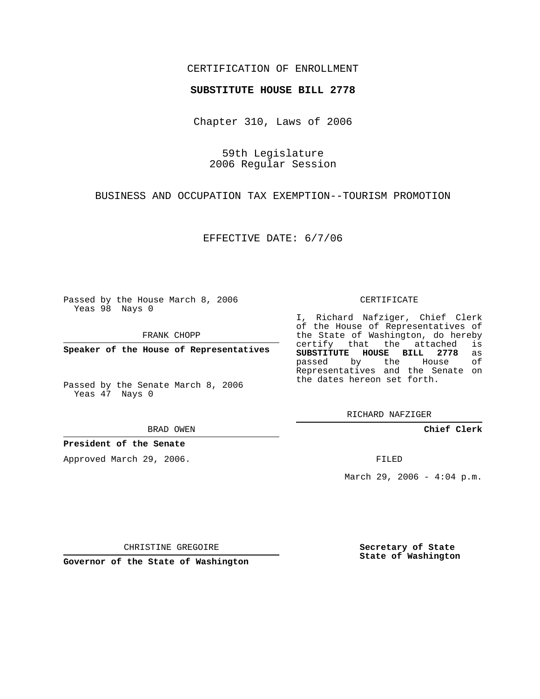### CERTIFICATION OF ENROLLMENT

#### **SUBSTITUTE HOUSE BILL 2778**

Chapter 310, Laws of 2006

59th Legislature 2006 Regular Session

BUSINESS AND OCCUPATION TAX EXEMPTION--TOURISM PROMOTION

EFFECTIVE DATE: 6/7/06

Passed by the House March 8, 2006 Yeas 98 Nays 0

FRANK CHOPP

**Speaker of the House of Representatives**

Passed by the Senate March 8, 2006 Yeas 47 Nays 0

BRAD OWEN

**President of the Senate**

Approved March 29, 2006.

CERTIFICATE

I, Richard Nafziger, Chief Clerk of the House of Representatives of the State of Washington, do hereby<br>certify that the attached is certify that the attached **SUBSTITUTE HOUSE BILL 2778** as passed by the House Representatives and the Senate on the dates hereon set forth.

RICHARD NAFZIGER

**Chief Clerk**

FILED

March 29, 2006 -  $4:04$  p.m.

CHRISTINE GREGOIRE

**Governor of the State of Washington**

**Secretary of State State of Washington**